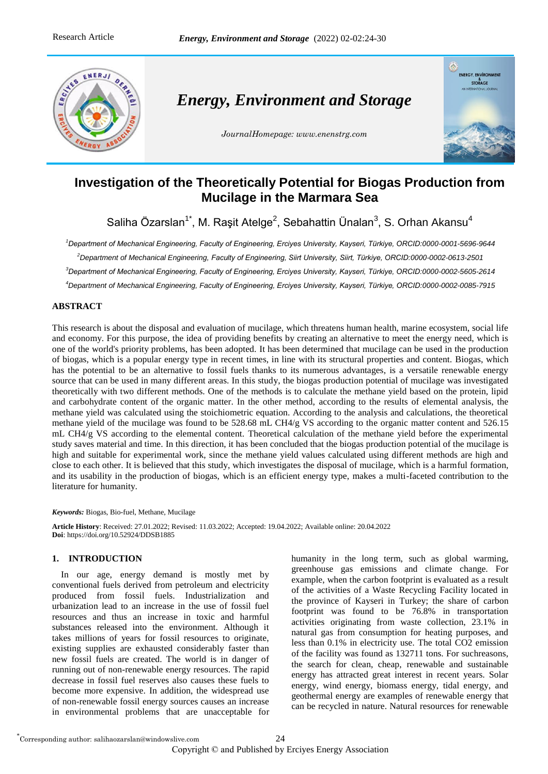

# *Energy, Environment and Storage*

*JournalHomepage: www.enenstrg.com*



# **Investigation of the Theoretically Potential for Biogas Production from Mucilage in the Marmara Sea**

Saliha Özarslan<sup>1\*</sup>, M. Raşit Atelge<sup>2</sup>, Sebahattin Ünalan<sup>3</sup>, S. Orhan Akansu<sup>4</sup>

*Department of Mechanical Engineering, Faculty of Engineering, Erciyes University, Kayseri, Türkiye, ORCID:0000-0001-5696-9644 Department of Mechanical Engineering, Faculty of Engineering, Siirt University, Siirt, Türkiye, ORCID:0000-0002-0613-2501 Department of Mechanical Engineering, Faculty of Engineering, Erciyes University, Kayseri, Türkiye, ORCID:0000-0002-5605-2614 Department of Mechanical Engineering, Faculty of Engineering, Erciyes University, Kayseri, Türkiye, ORCID:0000-0002-0085-7915*

# **ABSTRACT**

This research is about the disposal and evaluation of mucilage, which threatens human health, marine ecosystem, social life and economy. For this purpose, the idea of providing benefits by creating an alternative to meet the energy need, which is one of the world's priority problems, has been adopted. It has been determined that mucilage can be used in the production of biogas, which is a popular energy type in recent times, in line with its structural properties and content. Biogas, which has the potential to be an alternative to fossil fuels thanks to its numerous advantages, is a versatile renewable energy source that can be used in many different areas. In this study, the biogas production potential of mucilage was investigated theoretically with two different methods. One of the methods is to calculate the methane yield based on the protein, lipid and carbohydrate content of the organic matter. In the other method, according to the results of elemental analysis, the methane yield was calculated using the stoichiometric equation. According to the analysis and calculations, the theoretical methane yield of the mucilage was found to be 528.68 mL CH4/g VS according to the organic matter content and 526.15 mL CH4/g VS according to the elemental content. Theoretical calculation of the methane yield before the experimental study saves material and time. In this direction, it has been concluded that the biogas production potential of the mucilage is high and suitable for experimental work, since the methane yield values calculated using different methods are high and close to each other. It is believed that this study, which investigates the disposal of mucilage, which is a harmful formation, and its usability in the production of biogas, which is an efficient energy type, makes a multi-faceted contribution to the literature for humanity.

#### *Keywords:* Biogas, Bio-fuel, Methane, Mucilage

**Article History**: Received: 27.01.2022; Revised: 11.03.2022; Accepted: 19.04.2022; Available online: 20.04.2022 **Doi**: https://doi.org/10.52924/DDSB1885

#### **1. INTRODUCTION**

In our age, energy demand is mostly met by conventional fuels derived from petroleum and electricity produced from fossil fuels. Industrialization and urbanization lead to an increase in the use of fossil fuel resources and thus an increase in toxic and harmful substances released into the environment. Although it takes millions of years for fossil resources to originate, existing supplies are exhausted considerably faster than new fossil fuels are created. The world is in danger of running out of non-renewable energy resources. The rapid decrease in fossil fuel reserves also causes these fuels to become more expensive. In addition, the widespread use of non-renewable fossil energy sources causes an increase in environmental problems that are unacceptable for humanity in the long term, such as global warming, greenhouse gas emissions and climate change. For example, when the carbon footprint is evaluated as a result of the activities of a Waste Recycling Facility located in the province of Kayseri in Turkey; the share of carbon footprint was found to be 76.8% in transportation activities originating from waste collection, 23.1% in natural gas from consumption for heating purposes, and less than 0.1% in electricity use. The total CO2 emission of the facility was found as 132711 tons. For suchreasons, the search for clean, cheap, renewable and sustainable energy has attracted great interest in recent years. Solar energy, wind energy, biomass energy, tidal energy, and geothermal energy are examples of renewable energy that can be recycled in nature. Natural resources for renewable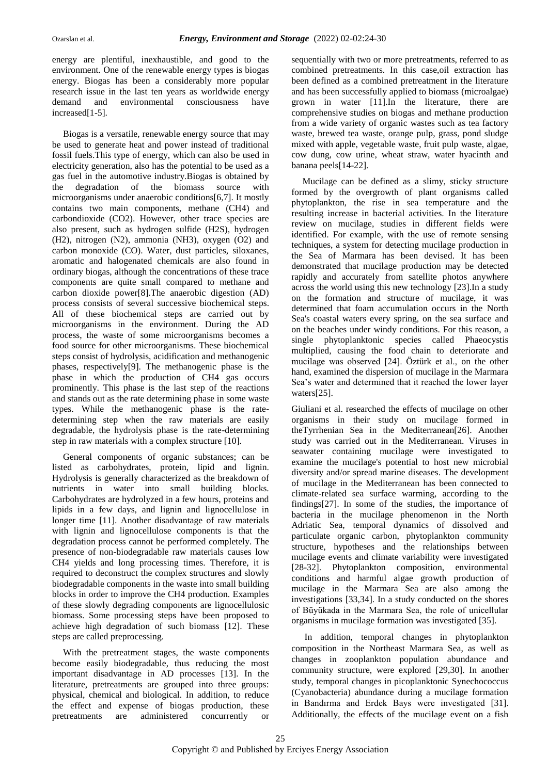energy are plentiful, inexhaustible, and good to the environment. One of the renewable energy types is biogas energy. Biogas has been a considerably more popular research issue in the last ten years as worldwide energy demand and environmental consciousness have increased[1-5].

Biogas is a versatile, renewable energy source that may be used to generate heat and power instead of traditional fossil fuels.This type of energy, which can also be used in electricity generation, also has the potential to be used as a gas fuel in the automotive industry.Biogas is obtained by the degradation of the biomass source with microorganisms under anaerobic conditions[6,7]. It mostly contains two main components, methane (CH4) and carbondioxide (CO2). However, other trace species are also present, such as hydrogen sulfide (H2S), hydrogen (H2), nitrogen (N2), ammonia (NH3), oxygen (O2) and carbon monoxide (CO). Water, dust particles, siloxanes, aromatic and halogenated chemicals are also found in ordinary biogas, although the concentrations of these trace components are quite small compared to methane and carbon dioxide power[8].The anaerobic digestion (AD) process consists of several successive biochemical steps. All of these biochemical steps are carried out by microorganisms in the environment. During the AD process, the waste of some microorganisms becomes a food source for other microorganisms. These biochemical steps consist of hydrolysis, acidification and methanogenic phases, respectively[9]. The methanogenic phase is the phase in which the production of CH4 gas occurs prominently. This phase is the last step of the reactions and stands out as the rate determining phase in some waste types. While the methanogenic phase is the ratedetermining step when the raw materials are easily degradable, the hydrolysis phase is the rate-determining step in raw materials with a complex structure [10].

General components of organic substances; can be listed as carbohydrates, protein, lipid and lignin. Hydrolysis is generally characterized as the breakdown of nutrients in water into small building blocks. Carbohydrates are hydrolyzed in a few hours, proteins and lipids in a few days, and lignin and lignocellulose in longer time [11]. Another disadvantage of raw materials with lignin and lignocellulose components is that the degradation process cannot be performed completely. The presence of non-biodegradable raw materials causes low CH4 yields and long processing times. Therefore, it is required to deconstruct the complex structures and slowly biodegradable components in the waste into small building blocks in order to improve the CH4 production. Examples of these slowly degrading components are lignocellulosic biomass. Some processing steps have been proposed to achieve high degradation of such biomass [12]. These steps are called preprocessing.

With the pretreatment stages, the waste components become easily biodegradable, thus reducing the most important disadvantage in AD processes [13]. In the literature, pretreatments are grouped into three groups: physical, chemical and biological. In addition, to reduce the effect and expense of biogas production, these pretreatments are administered concurrently or

sequentially with two or more pretreatments, referred to as combined pretreatments. In this case,oil extraction has been defined as a combined pretreatment in the literature and has been successfully applied to biomass (microalgae) grown in water [11].In the literature, there are comprehensive studies on biogas and methane production from a wide variety of organic wastes such as tea factory waste, brewed tea waste, orange pulp, grass, pond sludge mixed with apple, vegetable waste, fruit pulp waste, algae, cow dung, cow urine, wheat straw, water hyacinth and banana peels[14-22].

Mucilage can be defined as a slimy, sticky structure formed by the overgrowth of plant organisms called phytoplankton, the rise in sea temperature and the resulting increase in bacterial activities. In the literature review on mucilage, studies in different fields were identified. For example, with the use of remote sensing techniques, a system for detecting mucilage production in the Sea of Marmara has been devised. It has been demonstrated that mucilage production may be detected rapidly and accurately from satellite photos anywhere across the world using this new technology [23].In a study on the formation and structure of mucilage, it was determined that foam accumulation occurs in the North Sea's coastal waters every spring, on the sea surface and on the beaches under windy conditions. For this reason, a single phytoplanktonic species called Phaeocystis multiplied, causing the food chain to deteriorate and mucilage was observed [24]. Öztürk et al., on the other hand, examined the dispersion of mucilage in the Marmara Sea's water and determined that it reached the lower layer waters[25].

Giuliani et al. researched the effects of mucilage on other organisms in their study on mucilage formed in theTyrrhenian Sea in the Mediterranean[26]. Another study was carried out in the Mediterranean. Viruses in seawater containing mucilage were investigated to examine the mucilage's potential to host new microbial diversity and/or spread marine diseases. The development of mucilage in the Mediterranean has been connected to climate-related sea surface warming, according to the findings[27]. In some of the studies, the importance of bacteria in the mucilage phenomenon in the North Adriatic Sea, temporal dynamics of dissolved and particulate organic carbon, phytoplankton community structure, hypotheses and the relationships between mucilage events and climate variability were investigated [28-32]. Phytoplankton composition, environmental conditions and harmful algae growth production of mucilage in the Marmara Sea are also among the investigations [33,34]. In a study conducted on the shores of Büyükada in the Marmara Sea, the role of unicellular organisms in mucilage formation was investigated [35].

In addition, temporal changes in phytoplankton composition in the Northeast Marmara Sea, as well as changes in zooplankton population abundance and community structure, were explored [\[29,](#page-5-0)[30\]](#page-5-1). In another study, temporal changes in picoplanktonic Synechococcus (Cyanobacteria) abundance during a mucilage formation in Bandırma and Erdek Bays were investigated [\[31\]](#page-5-2). Additionally, the effects of the mucilage event on a fish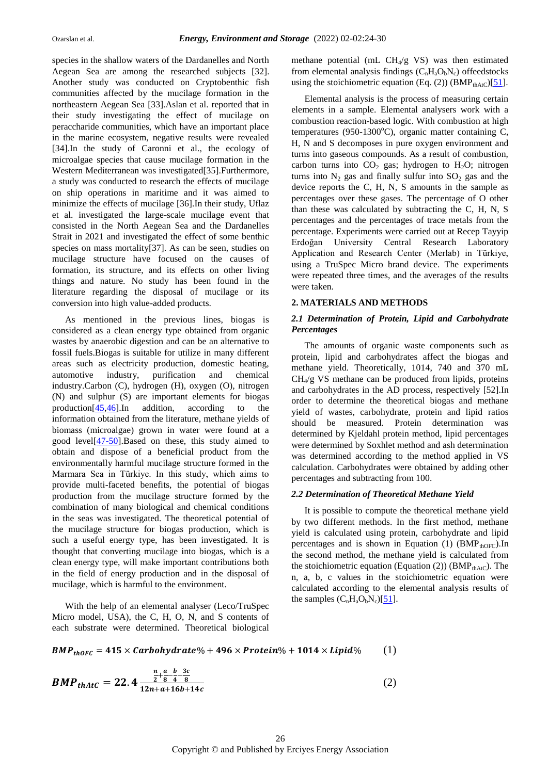species in the shallow waters of the Dardanelles and North Aegean Sea are among the researched subjects [\[32\]](#page-5-3). Another study was conducted on Cryptobenthic fish communities affected by the mucilage formation in the northeastern Aegean Sea [\[33\]](#page-6-0).Aslan et al. reported that in their study investigating the effect of mucilage on peraccharide communities, which have an important place in the marine ecosystem, negative results were revealed [\[34\]](#page-6-1).In the study of Caronni et al., the ecology of microalgae species that cause mucilage formation in the Western Mediterranean was investigated[\[35\]](#page-6-2).Furthermore, a study was conducted to research the effects of mucilage on ship operations in maritime and it was aimed to minimize the effects of mucilage [\[36\]](#page-6-3).In their study, Uflaz et al. investigated the large-scale mucilage event that consisted in the North Aegean Sea and the Dardanelles Strait in 2021 and investigated the effect of some benthic species on mass mortality[\[37\]](#page-6-4). As can be seen, studies on mucilage structure have focused on the causes of formation, its structure, and its effects on other living things and nature. No study has been found in the literature regarding the disposal of mucilage or its conversion into high value-added products.

As mentioned in the previous lines, biogas is considered as a clean energy type obtained from organic wastes by anaerobic digestion and can be an alternative to fossil fuels.Biogas is suitable for utilize in many different areas such as electricity production, domestic heating, automotive industry, purification and chemical industry.Carbon (C), hydrogen (H), oxygen (O), nitrogen (N) and sulphur (S) are important elements for biogas production[\[45,](#page-6-5)[46\]](#page-6-6).In addition, according to the information obtained from the literature, methane yields of biomass (microalgae) grown in water were found at a good level[\[47-50\]](#page-6-7).Based on these, this study aimed to obtain and dispose of a beneficial product from the environmentally harmful mucilage structure formed in the Marmara Sea in Türkiye. In this study, which aims to provide multi-faceted benefits, the potential of biogas production from the mucilage structure formed by the combination of many biological and chemical conditions in the seas was investigated. The theoretical potential of the mucilage structure for biogas production, which is such a useful energy type, has been investigated. It is thought that converting mucilage into biogas, which is a clean energy type, will make important contributions both in the field of energy production and in the disposal of mucilage, which is harmful to the environment.

With the help of an elemental analyser (Leco/TruSpec Micro model, USA), the C, H, O, N, and S contents of each substrate were determined. Theoretical biological

methane potential (mL  $CH<sub>4</sub>/g$  VS) was then estimated from elemental analysis findings  $(C_nH_aO_bN_c)$  offeedstocks using the stoichiometric equation (Eq. (2)) ( $BMP<sub>thatC</sub>$ )[\[51\]](#page-6-8).

Elemental analysis is the process of measuring certain elements in a sample. Elemental analysers work with a combustion reaction-based logic. With combustion at high temperatures (950-1300°C), organic matter containing C, H, N and S decomposes in pure oxygen environment and turns into gaseous compounds. As a result of combustion, carbon turns into  $CO<sub>2</sub>$  gas; hydrogen to H<sub>2</sub>O; nitrogen turns into  $N_2$  gas and finally sulfur into  $SO_2$  gas and the device reports the C, H, N, S amounts in the sample as percentages over these gases. The percentage of O other than these was calculated by subtracting the C, H, N, S percentages and the percentages of trace metals from the percentage. Experiments were carried out at Recep Tayyip Erdoğan University Central Research Laboratory Application and Research Center (Merlab) in Türkiye, using a TruSpec Micro brand device. The experiments were repeated three times, and the averages of the results were taken.

# **2. MATERIALS AND METHODS**

# *2.1 Determination of Protein, Lipid and Carbohydrate Percentages*

The amounts of organic waste components such as protein, lipid and carbohydrates affect the biogas and methane yield. Theoretically, 1014, 740 and 370 mL  $CH<sub>4</sub>/g$  VS methane can be produced from lipids, proteins and carbohydrates in the AD process, respectively [\[52\]](#page-6-9).In order to determine the theoretical biogas and methane yield of wastes, carbohydrate, protein and lipid ratios should be measured. Protein determination was determined by Kjeldahl protein method, lipid percentages were determined by Soxhlet method and ash determination was determined according to the method applied in VS calculation. Carbohydrates were obtained by adding other percentages and subtracting from 100.

#### *2.2 Determination of Theoretical Methane Yield*

It is possible to compute the theoretical methane yield by two different methods. In the first method, methane yield is calculated using protein, carbohydrate and lipid percentages and is shown in Equation (1)  $(BMP<sub>th0FC</sub>)$ . In the second method, the methane yield is calculated from the stoichiometric equation (Equation (2)) ( $BMP<sub>th</sub>_{\text{tAtC}}$ ). The n, a, b, c values in the stoichiometric equation were calculated according to the elemental analysis results of the samples  $(C_nH_aO_bN_c)[\underline{51}]$ .

 $BMP_{th0FC} = 415 \times Carbohydrate\% + 496 \times Protein\% + 1014 \times Lipid\%$  (1)

$$
BMP_{thAtC} = 22.4 \frac{\frac{n}{2} + \frac{a}{8} - \frac{b}{4} - 3c}{12n + a + 16b + 14c} \tag{2}
$$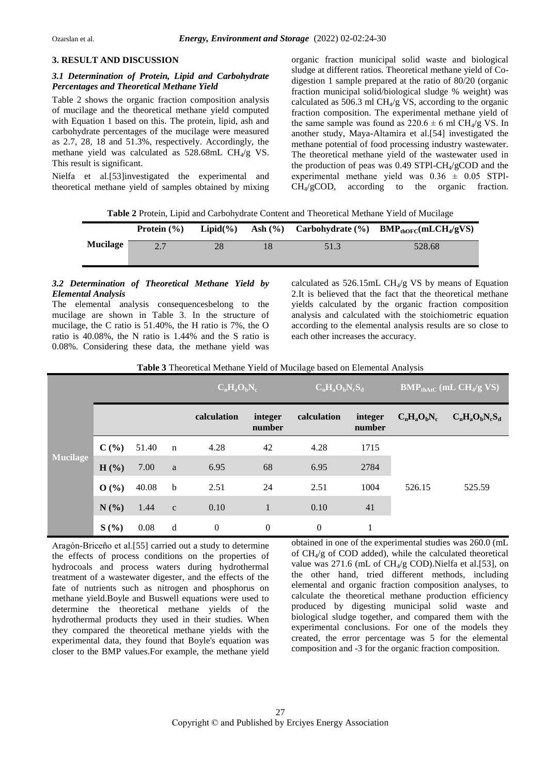## **3. RESULT AND DISCUSSION**

# *3.1 Determination of Protein, Lipid and Carbohydrate Percentages and Theoretical Methane Yield*

Table 2 shows the organic fraction composition analysis of mucilage and the theoretical methane yield computed with Equation 1 based on this. The protein, lipid, ash and carbohydrate percentages of the mucilage were measured as 2.7, 28, 18 and 51.3%, respectively. Accordingly, the methane yield was calculated as  $528.68$ mL CH<sub>4</sub>/g VS. This result is significant.

Nielfa et al.[\[53\]](#page-6-10)investigated the experimental and theoretical methane yield of samples obtained by mixing organic fraction municipal solid waste and biological sludge at different ratios. Theoretical methane yield of Codigestion 1 sample prepared at the ratio of 80/20 (organic fraction municipal solid/biological sludge % weight) was calculated as 506.3 ml CH $_4$ /g VS, according to the organic fraction composition. The experimental methane yield of the same sample was found as  $220.6 \pm 6$  ml CH<sub>4</sub>/g VS. In another study, Maya-Altamira et al.[\[54\]](#page-6-11) investigated the methane potential of food processing industry wastewater. The theoretical methane yield of the wastewater used in the production of peas was 0.49 STPl-CH $_4$ /gCOD and the experimental methane yield was 0.36 ± 0.05 STPl-CH4/gCOD, according to the organic fraction.

**Table 2** Protein, Lipid and Carbohydrate Content and Theoretical Methane Yield of Mucilage

|          | Protein $(\% )$ | $Lipid(\% )$ |      | Ash $(\%)$ Carbohydrate $(\%)$ BMP <sub>thOFC</sub> (mLCH <sub>4</sub> /gVS) |
|----------|-----------------|--------------|------|------------------------------------------------------------------------------|
| Mucilage | $\gamma$ $\tau$ | 28           | 51.3 | 528.68                                                                       |

#### *3.2 Determination of Theoretical Methane Yield by Elemental Analysis*

The elemental analysis consequencesbelong to the mucilage are shown in Table 3. In the structure of mucilage, the C ratio is 51.40%, the H ratio is 7%, the O ratio is 40.08%, the N ratio is 1.44% and the S ratio is 0.08%. Considering these data, the methane yield was calculated as  $526.15 \text{mL CH}_4/\text{g}$  VS by means of Equation 2.It is believed that the fact that the theoretical methane yields calculated by the organic fraction composition analysis and calculated with the stoichiometric equation according to the elemental analysis results are so close to each other increases the accuracy.

**Table 3** Theoretical Methane Yield of Mucilage based on Elemental Analysis

|                 |          |       |              | $C_nH_aO_bN_c$   |                   | $C_nH_aO_bN_cS_d$ |                   | $BMP_{th/AC}$ (mL $CH4/g$ VS) |                   |
|-----------------|----------|-------|--------------|------------------|-------------------|-------------------|-------------------|-------------------------------|-------------------|
| <b>Mucilage</b> |          |       |              | calculation      | integer<br>number | calculation       | integer<br>number | $C_nH_aO_bN_c$                | $C_nH_aO_bN_cS_d$ |
|                 | C(%)     | 51.40 | $\mathbf n$  | 4.28             | 42                | 4.28              | 1715              |                               |                   |
|                 | $H(\% )$ | 7.00  | a            | 6.95             | 68                | 6.95              | 2784              |                               |                   |
|                 | O(%)     | 40.08 | $\mathbf b$  | 2.51             | 24                | 2.51              | 1004              | 526.15                        | 525.59            |
|                 | N(%)     | 1.44  | $\mathbf{C}$ | 0.10             | 1                 | 0.10              | 41                |                               |                   |
|                 | S(%)     | 0.08  | d            | $\boldsymbol{0}$ | $\theta$          | $\theta$          | 1                 |                               |                   |

Aragón-Briceño et al.[\[55\]](#page-6-12) carried out a study to determine the effects of process conditions on the properties of hydrocoals and process waters during hydrothermal treatment of a wastewater digester, and the effects of the fate of nutrients such as nitrogen and phosphorus on methane yield.Boyle and Buswell equations were used to determine the theoretical methane yields of the hydrothermal products they used in their studies. When they compared the theoretical methane yields with the experimental data, they found that Boyle's equation was closer to the BMP values.For example, the methane yield

obtained in one of the experimental studies was 260.0 (mL of  $CH<sub>4</sub>/g$  of COD added), while the calculated theoretical value was  $271.6$  (mL of CH<sub>4</sub>/g COD). Nielfa et al.[\[53\]](#page-6-10), on the other hand, tried different methods, including elemental and organic fraction composition analyses, to calculate the theoretical methane production efficiency produced by digesting municipal solid waste and biological sludge together, and compared them with the experimental conclusions. For one of the models they created, the error percentage was 5 for the elemental composition and -3 for the organic fraction composition.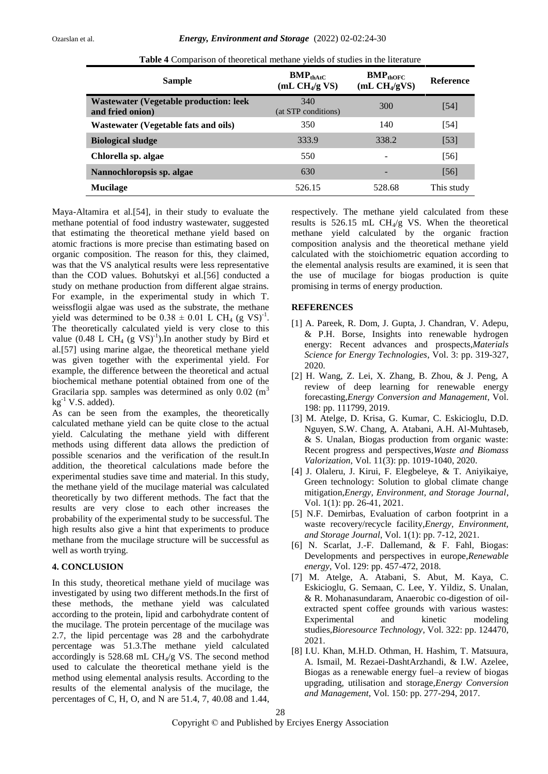| <b>Sample</b>                                                     | $BMP_{th, 4tC}$<br>mL CH <sub>4</sub> /g VS | $BMP_{thOFC}$<br>mL CH <sub>4</sub> /gVS | <b>Reference</b> |
|-------------------------------------------------------------------|---------------------------------------------|------------------------------------------|------------------|
| <b>Wastewater (Vegetable production: leek</b><br>and fried onion) | 340<br>(at STP conditions)                  | 300                                      | [54]             |
| Wastewater (Vegetable fats and oils)                              | 350                                         | 140                                      | [54]             |
| <b>Biological sludge</b>                                          | 333.9                                       | 338.2                                    | $[53]$           |
| Chlorella sp. algae                                               | 550                                         |                                          | [56]             |
| Nannochloropsis sp. algae                                         | 630                                         |                                          | [56]             |
| <b>Mucilage</b>                                                   | 526.15                                      | 528.68                                   | This study       |

**Table 4** Comparison of theoretical methane yields of studies in the literature

Maya-Altamira et al.[\[54\]](#page-6-11), in their study to evaluate the methane potential of food industry wastewater, suggested that estimating the theoretical methane yield based on atomic fractions is more precise than estimating based on organic composition. The reason for this, they claimed, was that the VS analytical results were less representative than the COD values. Bohutskyi et al.[\[56\]](#page-6-13) conducted a study on methane production from different algae strains. For example, in the experimental study in which T. weissflogii algae was used as the substrate, the methane yield was determined to be  $0.38 \pm 0.01$  L CH<sub>4</sub> (g VS)<sup>-1</sup>. The theoretically calculated yield is very close to this value  $(0.48 \text{ L CH}_4 \text{ (g VS)}^{-1})$ . In another study by Bird et al.[\[57\]](#page-6-14) using marine algae, the theoretical methane yield was given together with the experimental yield. For example, the difference between the theoretical and actual biochemical methane potential obtained from one of the Gracilaria spp. samples was determined as only  $0.02 \text{ (m}^3)$  $kg^{-1}$  V.S. added).

As can be seen from the examples, the theoretically calculated methane yield can be quite close to the actual yield. Calculating the methane yield with different methods using different data allows the prediction of possible scenarios and the verification of the result.In addition, the theoretical calculations made before the experimental studies save time and material. In this study, the methane yield of the mucilage material was calculated theoretically by two different methods. The fact that the results are very close to each other increases the probability of the experimental study to be successful. The high results also give a hint that experiments to produce methane from the mucilage structure will be successful as well as worth trying.

# **4. CONCLUSION**

In this study, theoretical methane yield of mucilage was investigated by using two different methods.In the first of these methods, the methane yield was calculated according to the protein, lipid and carbohydrate content of the mucilage. The protein percentage of the mucilage was 2.7, the lipid percentage was 28 and the carbohydrate percentage was 51.3.The methane yield calculated accordingly is 528.68 mL CH $\frac{1}{2}$ g VS. The second method used to calculate the theoretical methane yield is the method using elemental analysis results. According to the results of the elemental analysis of the mucilage, the percentages of C, H, O, and N are 51.4, 7, 40.08 and 1.44,

respectively. The methane yield calculated from these results is 526.15 mL CH $_4$ /g VS. When the theoretical methane yield calculated by the organic fraction composition analysis and the theoretical methane yield calculated with the stoichiometric equation according to the elemental analysis results are examined, it is seen that the use of mucilage for biogas production is quite promising in terms of energy production.

# **REFERENCES**

- [1] A. Pareek, R. Dom, J. Gupta, J. Chandran, V. Adepu, & P.H. Borse, Insights into renewable hydrogen energy: Recent advances and prospects*,Materials Science for Energy Technologies*, Vol. 3: pp. 319-327, 2020.
- [2] H. Wang, Z. Lei, X. Zhang, B. Zhou, & J. Peng, A review of deep learning for renewable energy forecasting*,Energy Conversion and Management*, Vol. 198: pp. 111799, 2019.
- [3] M. Atelge, D. Krisa, G. Kumar, C. Eskicioglu, D.D. Nguyen, S.W. Chang, A. Atabani, A.H. Al-Muhtaseb, & S. Unalan, Biogas production from organic waste: Recent progress and perspectives*,Waste and Biomass Valorization*, Vol. 11(3): pp. 1019-1040, 2020.
- [4] J. Olaleru, J. Kirui, F. Elegbeleye, & T. Aniyikaiye, Green technology: Solution to global climate change mitigation*,Energy, Environment, and Storage Journal*, Vol. 1(1): pp. 26-41, 2021.
- [5] N.F. Demirbas, Evaluation of carbon footprint in a waste recovery/recycle facility*,Energy, Environment, and Storage Journal*, Vol. 1(1): pp. 7-12, 2021.
- [6] N. Scarlat, J.-F. Dallemand, & F. Fahl, Biogas: Developments and perspectives in europe*,Renewable energy*, Vol. 129: pp. 457-472, 2018.
- [7] M. Atelge, A. Atabani, S. Abut, M. Kaya, C. Eskicioglu, G. Semaan, C. Lee, Y. Yildiz, S. Unalan, & R. Mohanasundaram, Anaerobic co-digestion of oilextracted spent coffee grounds with various wastes: Experimental and kinetic modeling studies*,Bioresource Technology*, Vol. 322: pp. 124470, 2021.
- [8] I.U. Khan, M.H.D. Othman, H. Hashim, T. Matsuura, A. Ismail, M. Rezaei-DashtArzhandi, & I.W. Azelee, Biogas as a renewable energy fuel–a review of biogas upgrading, utilisation and storage*,Energy Conversion and Management*, Vol. 150: pp. 277-294, 2017.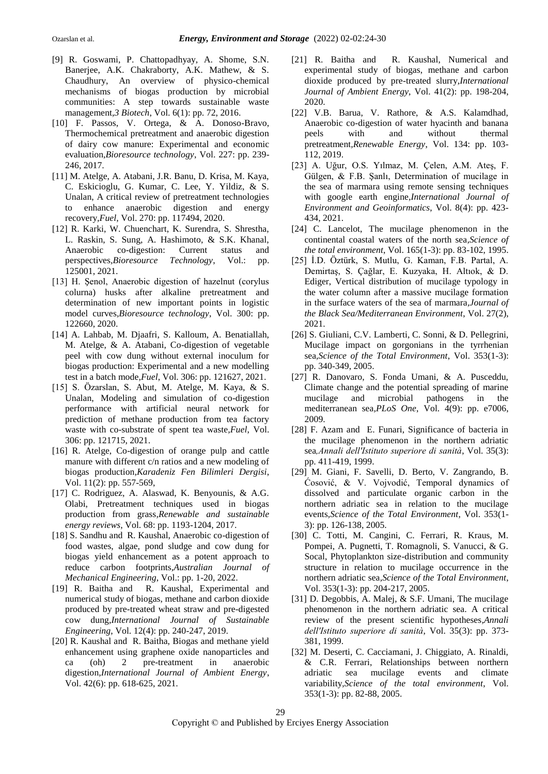- [9] R. Goswami, P. Chattopadhyay, A. Shome, S.N. Banerjee, A.K. Chakraborty, A.K. Mathew, & S. Chaudhury, An overview of physico-chemical mechanisms of biogas production by microbial communities: A step towards sustainable waste management*,3 Biotech*, Vol. 6(1): pp. 72, 2016.
- [10] F. Passos, V. Ortega, & A. Donoso-Bravo, Thermochemical pretreatment and anaerobic digestion of dairy cow manure: Experimental and economic evaluation*,Bioresource technology*, Vol. 227: pp. 239- 246, 2017.
- [11] M. Atelge, A. Atabani, J.R. Banu, D. Krisa, M. Kaya, C. Eskicioglu, G. Kumar, C. Lee, Y. Yildiz, & S. Unalan, A critical review of pretreatment technologies to enhance anaerobic digestion and energy recovery*,Fuel*, Vol. 270: pp. 117494, 2020.
- [12] R. Karki, W. Chuenchart, K. Surendra, S. Shrestha, L. Raskin, S. Sung, A. Hashimoto, & S.K. Khanal, Anaerobic co-digestion: Current status and perspectives*,Bioresource Technology*, Vol.: pp. 125001, 2021.
- [13] H. Şenol, Anaerobic digestion of hazelnut (corylus colurna) husks after alkaline pretreatment and determination of new important points in logistic model curves*,Bioresource technology*, Vol. 300: pp. 122660, 2020.
- [14] A. Lahbab, M. Djaafri, S. Kalloum, A. Benatiallah, M. Atelge, & A. Atabani, Co-digestion of vegetable peel with cow dung without external inoculum for biogas production: Experimental and a new modelling test in a batch mode*,Fuel*, Vol. 306: pp. 121627, 2021.
- [15] S. Özarslan, S. Abut, M. Atelge, M. Kaya, & S. Unalan, Modeling and simulation of co-digestion performance with artificial neural network for prediction of methane production from tea factory waste with co-substrate of spent tea waste*,Fuel*, Vol. 306: pp. 121715, 2021.
- [16] R. Atelge, Co-digestion of orange pulp and cattle manure with different c/n ratios and a new modeling of biogas production*,Karadeniz Fen Bilimleri Dergisi*, Vol. 11(2): pp. 557-569,
- [17] C. Rodriguez, A. Alaswad, K. Benyounis, & A.G. Olabi, Pretreatment techniques used in biogas production from grass*,Renewable and sustainable energy reviews*, Vol. 68: pp. 1193-1204, 2017.
- [18] S. Sandhu and R. Kaushal, Anaerobic co-digestion of food wastes, algae, pond sludge and cow dung for biogas yield enhancement as a potent approach to reduce carbon footprints*,Australian Journal of Mechanical Engineering*, Vol.: pp. 1-20, 2022.
- [19] R. Baitha and R. Kaushal, Experimental and numerical study of biogas, methane and carbon dioxide produced by pre-treated wheat straw and pre-digested cow dung*,International Journal of Sustainable Engineering*, Vol. 12(4): pp. 240-247, 2019.
- [20] R. Kaushal and R. Baitha, Biogas and methane yield enhancement using graphene oxide nanoparticles and ca (oh) 2 pre-treatment in anaerobic digestion*,International Journal of Ambient Energy*, Vol. 42(6): pp. 618-625, 2021.
- [21] R. Baitha and R. Kaushal, Numerical and experimental study of biogas, methane and carbon dioxide produced by pre-treated slurry*,International Journal of Ambient Energy*, Vol. 41(2): pp. 198-204, 2020.
- [22] V.B. Barua, V. Rathore, & A.S. Kalamdhad, Anaerobic co-digestion of water hyacinth and banana peels with and without thermal pretreatment*,Renewable Energy*, Vol. 134: pp. 103- 112, 2019.
- [23] A. Uğur, O.S. Yılmaz, M. Çelen, A.M. Ateş, F. Gülgen, & F.B. Şanlı, Determination of mucilage in the sea of marmara using remote sensing techniques with google earth engine*,International Journal of Environment and Geoinformatics*, Vol. 8(4): pp. 423- 434, 2021.
- [24] C. Lancelot, The mucilage phenomenon in the continental coastal waters of the north sea*,Science of the total environment*, Vol. 165(1-3): pp. 83-102, 1995.
- [25] İ.D. Öztürk, S. Mutlu, G. Kaman, F.B. Partal, A. Demirtaş, S. Çağlar, E. Kuzyaka, H. Altıok, & D. Ediger, Vertical distribution of mucilage typology in the water column after a massive mucilage formation in the surface waters of the sea of marmara*,Journal of the Black Sea/Mediterranean Environment*, Vol. 27(2), 2021.
- [26] S. Giuliani, C.V. Lamberti, C. Sonni, & D. Pellegrini, Mucilage impact on gorgonians in the tyrrhenian sea*,Science of the Total Environment*, Vol. 353(1-3): pp. 340-349, 2005.
- [27] R. Danovaro, S. Fonda Umani, & A. Pusceddu, Climate change and the potential spreading of marine mucilage and microbial pathogens in the mediterranean sea*,PLoS One*, Vol. 4(9): pp. e7006, 2009.
- [28] F. Azam and E. Funari, Significance of bacteria in the mucilage phenomenon in the northern adriatic sea*,Annali dell'Istituto superiore di sanità*, Vol. 35(3): pp. 411-419, 1999.
- <span id="page-5-0"></span>[29] M. Giani, F. Savelli, D. Berto, V. Zangrando, B. Ćosović, & V. Vojvodić, Temporal dynamics of dissolved and particulate organic carbon in the northern adriatic sea in relation to the mucilage events*,Science of the Total Environment*, Vol. 353(1- 3): pp. 126-138, 2005.
- <span id="page-5-1"></span>[30] C. Totti, M. Cangini, C. Ferrari, R. Kraus, M. Pompei, A. Pugnetti, T. Romagnoli, S. Vanucci, & G. Socal, Phytoplankton size-distribution and community structure in relation to mucilage occurrence in the northern adriatic sea*,Science of the Total Environment*, Vol. 353(1-3): pp. 204-217, 2005.
- <span id="page-5-2"></span>[31] D. Degobbis, A. Malej, & S.F. Umani, The mucilage phenomenon in the northern adriatic sea. A critical review of the present scientific hypotheses*,Annali dell'Istituto superiore di sanità*, Vol. 35(3): pp. 373- 381, 1999.
- <span id="page-5-3"></span>[32] M. Deserti, C. Cacciamani, J. Chiggiato, A. Rinaldi, & C.R. Ferrari, Relationships between northern adriatic sea mucilage events and climate variability*,Science of the total environment*, Vol. 353(1-3): pp. 82-88, 2005.